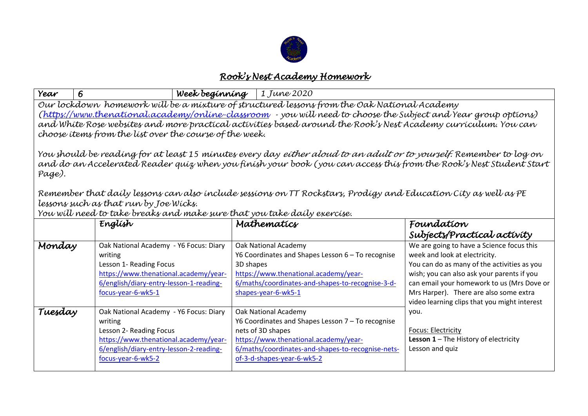

## *Rook's Nest Academy Homework*

| Year                                                                                                                                                                                                                                                                                                                                                                                                                                                                                                                                                                                                                                                                                                                                                                                                                                                                                                | 6                                                                                                                                                                                      | Week beginning | 1 June 2020                                                                                                                                                                                                                |                                                                                                                                                                                                                                                                                                                 |  |  |
|-----------------------------------------------------------------------------------------------------------------------------------------------------------------------------------------------------------------------------------------------------------------------------------------------------------------------------------------------------------------------------------------------------------------------------------------------------------------------------------------------------------------------------------------------------------------------------------------------------------------------------------------------------------------------------------------------------------------------------------------------------------------------------------------------------------------------------------------------------------------------------------------------------|----------------------------------------------------------------------------------------------------------------------------------------------------------------------------------------|----------------|----------------------------------------------------------------------------------------------------------------------------------------------------------------------------------------------------------------------------|-----------------------------------------------------------------------------------------------------------------------------------------------------------------------------------------------------------------------------------------------------------------------------------------------------------------|--|--|
| Our lockdown homework will be a mixture of structured lessons from the Oak National Academy<br>(https://www.thenational.academy/online-classroom - you will need to choose the Subject and Year group options)<br>and White Rose websites and more practical activities based around the Rook's Nest Academy curriculum. You can<br>choose items from the list over the course of the week.<br>You should be reading for at least 15 minutes every day <i>either aloud to an adult or to yourself.</i> Remember to log on<br>and do an Accelerated Reader quiz when you finish your book (you can access this from the Rook's Nest Student Start<br>Page).<br>Remember that daily lessons can also include sessions on TT Rockstars, Prodigy and Education City as well as PE<br>lessons such as that run by Joe Wicks.<br>You will need to take breaks and make sure that you take daily exercise. |                                                                                                                                                                                        |                |                                                                                                                                                                                                                            |                                                                                                                                                                                                                                                                                                                 |  |  |
|                                                                                                                                                                                                                                                                                                                                                                                                                                                                                                                                                                                                                                                                                                                                                                                                                                                                                                     | English                                                                                                                                                                                |                | Mathematics                                                                                                                                                                                                                | Foundation<br>Subjects/Practical activity                                                                                                                                                                                                                                                                       |  |  |
| Monday                                                                                                                                                                                                                                                                                                                                                                                                                                                                                                                                                                                                                                                                                                                                                                                                                                                                                              | Oak National Academy - Y6 Focus: Diary<br>writing<br>Lesson 1- Reading Focus<br>https://www.thenational.academy/year-<br>6/english/diary-entry-lesson-1-reading-<br>focus-year-6-wk5-1 | 3D shapes      | Oak National Academy<br>Y6 Coordinates and Shapes Lesson 6 - To recognise<br>https://www.thenational.academy/year-<br>6/maths/coordinates-and-shapes-to-recognise-3-d-<br>shapes-year-6-wk5-1                              | We are going to have a Science focus this<br>week and look at electricity.<br>You can do as many of the activities as you<br>wish; you can also ask your parents if you<br>can email your homework to us (Mrs Dove or<br>Mrs Harper). There are also some extra<br>video learning clips that you might interest |  |  |
| Tuesday                                                                                                                                                                                                                                                                                                                                                                                                                                                                                                                                                                                                                                                                                                                                                                                                                                                                                             | Oak National Academy - Y6 Focus: Diary<br>writing<br>Lesson 2- Reading Focus<br>https://www.thenational.academy/year-<br>6/english/diary-entry-lesson-2-reading-<br>focus-year-6-wk5-2 |                | Oak National Academy<br>Y6 Coordinates and Shapes Lesson 7 - To recognise<br>nets of 3D shapes<br>https://www.thenational.academy/year-<br>6/maths/coordinates-and-shapes-to-recognise-nets-<br>of-3-d-shapes-year-6-wk5-2 | you.<br><b>Focus: Electricity</b><br><b>Lesson 1</b> – The History of electricity<br>Lesson and quiz                                                                                                                                                                                                            |  |  |